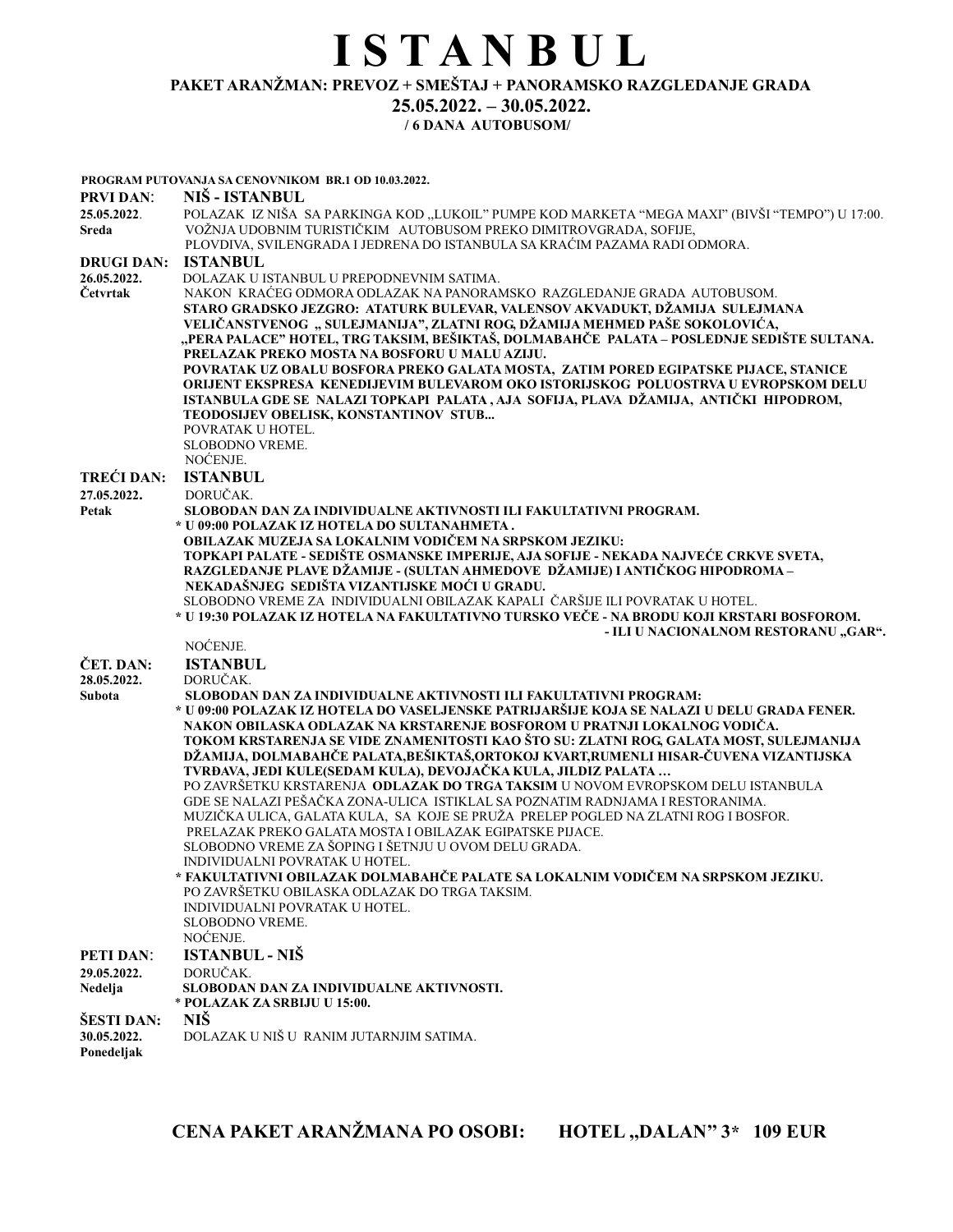# I S T A N B U L PAKET ARANŽMAN: PREVOZ + SMEŠTAJ + PANORAMSKO RAZGLEDANJE GRADA 25.05.2022. – 30.05.2022.

# / 6 DANA AUTOBUSOM/

|                           | PROGRAM PUTOVANJA SA CENOVNIKOM BR.1 OD 10.03.2022.                                                                                                                                                                                                                                                                                                                               |
|---------------------------|-----------------------------------------------------------------------------------------------------------------------------------------------------------------------------------------------------------------------------------------------------------------------------------------------------------------------------------------------------------------------------------|
| <b>PRVI DAN:</b>          | NIŠ - ISTANBUL                                                                                                                                                                                                                                                                                                                                                                    |
| 25.05.2022.<br>Sreda      | POLAZAK IZ NIŠA SA PARKINGA KOD "LUKOIL" PUMPE KOD MARKETA "MEGA MAXI" (BIVŠI "TEMPO") U 17:00.<br>VOŽNJA UDOBNIM TURISTIČKIM AUTOBUSOM PREKO DIMITROVGRADA, SOFIJE,<br>PLOVDIVA, SVILENGRADA I JEDRENA DO ISTANBULA SA KRAĆIM PAZAMA RADI ODMORA.                                                                                                                                |
|                           |                                                                                                                                                                                                                                                                                                                                                                                   |
| <b>DRUGI DAN:</b>         | <b>ISTANBUL</b>                                                                                                                                                                                                                                                                                                                                                                   |
| 26.05.2022.               | DOLAZAK U ISTANBUL U PREPODNEVNIM SATIMA.                                                                                                                                                                                                                                                                                                                                         |
| Četvrtak                  | NAKON KRAĆEG ODMORA ODLAZAK NA PANORAMSKO RAZGLEDANJE GRADA AUTOBUSOM.<br>STARO GRADSKO JEZGRO: ATATURK BULEVAR, VALENSOV AKVADUKT, DŽAMIJA SULEJMANA<br>VELIČANSTVENOG "SULEJMANIJA", ZLATNI ROG, DŽAMIJA MEHMED PAŠE SOKOLOVIĆA,<br>"PERA PALACE" HOTEL, TRG TAKSIM, BEŠIKTAŠ, DOLMABAHČE  PALATA – POSLEDNJE SEDIŠTE SULTANA.<br>PRELAZAK PREKO MOSTA NA BOSFORU U MALU AZIJU. |
|                           | POVRATAK UZ OBALU BOSFORA PREKO GALATA MOSTA, ZATIM PORED EGIPATSKE PIJACE, STANICE                                                                                                                                                                                                                                                                                               |
|                           | ORIJENT EKSPRESA KENEDIJEVIM BULEVAROM OKO ISTORIJSKOG POLUOSTRVA U EVROPSKOM DELU<br>ISTANBULA GDE SE NALAZI TOPKAPI PALATA, AJA SOFIJA, PLAVA DŽAMIJA, ANTIČKI HIPODROM,<br>TEODOSIJEV OBELISK, KONSTANTINOV STUB<br>POVRATAK U HOTEL.                                                                                                                                          |
|                           | <b>SLOBODNO VREME.</b>                                                                                                                                                                                                                                                                                                                                                            |
|                           | NOĆENJE.                                                                                                                                                                                                                                                                                                                                                                          |
| <b>TREĆI DAN:</b>         | <b>ISTANBUL</b>                                                                                                                                                                                                                                                                                                                                                                   |
| 27.05.2022.               | DORUČAK.                                                                                                                                                                                                                                                                                                                                                                          |
| Petak                     | SLOBODAN DAN ZA INDIVIDUALNE AKTIVNOSTI ILI FAKULTATIVNI PROGRAM.                                                                                                                                                                                                                                                                                                                 |
|                           | * U 09:00 POLAZAK IZ HOTELA DO SULTANAHMETA.                                                                                                                                                                                                                                                                                                                                      |
|                           | OBILAZAK MUZEJA SA LOKALNIM VODIČEM NA SRPSKOM JEZIKU:                                                                                                                                                                                                                                                                                                                            |
|                           | TOPKAPI PALATE - SEDIŠTE OSMANSKE IMPERIJE, AJA SOFIJE - NEKADA NAJVEĆE CRKVE SVETA,                                                                                                                                                                                                                                                                                              |
|                           | RAZGLEDANJE PLAVE DŽAMIJE - (SULTAN AHMEDOVE DŽAMIJE) I ANTIČKOG HIPODROMA-                                                                                                                                                                                                                                                                                                       |
|                           | NEKADAŠNJEG SEDIŠTA VIZANTIJSKE MOĆI U GRADU.                                                                                                                                                                                                                                                                                                                                     |
|                           | SLOBODNO VREME ZA INDIVIDUALNI OBILAZAK KAPALI ČARŠIJE ILI POVRATAK U HOTEL.<br>* U 19:30 POLAZAK IZ HOTELA NA FAKULTATIVNO TURSKO VEČE - NA BRODU KOJI KRSTARI BOSFOROM.                                                                                                                                                                                                         |
|                           | - ILI U NACIONALNOM RESTORANU "GAR".                                                                                                                                                                                                                                                                                                                                              |
|                           | NOĆENJE.                                                                                                                                                                                                                                                                                                                                                                          |
| ČET. DAN:<br>28.05.2022.  | <b>ISTANBUL</b><br>DORUČAK.                                                                                                                                                                                                                                                                                                                                                       |
| Subota                    | SLOBODAN DAN ZA INDIVIDUALNE AKTIVNOSTI ILI FAKULTATIVNI PROGRAM:                                                                                                                                                                                                                                                                                                                 |
|                           | * U 09:00 POLAZAK IZ HOTELA DO VASELJENSKE PATRIJARŠIJE KOJA SE NALAZI U DELU GRADA FENER.                                                                                                                                                                                                                                                                                        |
|                           | NAKON OBILASKA ODLAZAK NA KRSTARENJE BOSFOROM U PRATNJI LOKALNOG VODIČA.                                                                                                                                                                                                                                                                                                          |
|                           | TOKOM KRSTARENJA SE VIDE ZNAMENITOSTI KAO ŠTO SU: ZLATNI ROG, GALATA MOST, SULEJMANIJA<br>DŽAMIJA, DOLMABAHČE PALATA,BEŠIKTAŠ,ORTOKOJ KVART,RUMENLI HISAR-ČUVENA VIZANTIJSKA                                                                                                                                                                                                      |
|                           | TVRĐAVA, JEDI KULE(SEDAM KULA), DEVOJAČKA KULA, JILDIZ PALATA                                                                                                                                                                                                                                                                                                                     |
|                           | PO ZAVRŠETKU KRSTARENJA ODLAZAK DO TRGA TAKSIM U NOVOM EVROPSKOM DELU ISTANBULA                                                                                                                                                                                                                                                                                                   |
|                           | GDE SE NALAZI PEŠAČKA ZONA-ULICA ISTIKLAL SA POZNATIM RADNJAMA I RESTORANIMA.<br>MUZIČKA ULICA, GALATA KULA, SA KOJE SE PRUŽA PRELEP POGLED NA ZLATNI ROG I BOSFOR.                                                                                                                                                                                                               |
|                           | PRELAZAK PREKO GALATA MOSTA I OBILAZAK EGIPATSKE PIJACE.                                                                                                                                                                                                                                                                                                                          |
|                           | SLOBODNO VREME ZA ŠOPING I ŠETNJU U OVOM DELU GRADA.<br>INDIVIDUALNI POVRATAK U HOTEL.                                                                                                                                                                                                                                                                                            |
|                           | * FAKULTATIVNI OBILAZAK DOLMABAHČE PALATE SA LOKALNIM VODIČEM NA SRPSKOM JEZIKU.                                                                                                                                                                                                                                                                                                  |
|                           | PO ZAVRŠETKU OBILASKA ODLAZAK DO TRGA TAKSIM.                                                                                                                                                                                                                                                                                                                                     |
|                           | INDIVIDUALNI POVRATAK U HOTEL.                                                                                                                                                                                                                                                                                                                                                    |
|                           | <b>SLOBODNO VREME.</b>                                                                                                                                                                                                                                                                                                                                                            |
|                           | NOĆENJE.                                                                                                                                                                                                                                                                                                                                                                          |
| <b>PETI DAN:</b>          | <b>ISTANBUL - NIŠ</b>                                                                                                                                                                                                                                                                                                                                                             |
| 29.05.2022.               | DORUČAK.                                                                                                                                                                                                                                                                                                                                                                          |
| Nedelja                   | SLOBODAN DAN ZA INDIVIDUALNE AKTIVNOSTI.<br>* POLAZAK ZA SRBIJU U 15:00.                                                                                                                                                                                                                                                                                                          |
| ŠESTI DAN:                | NIŠ                                                                                                                                                                                                                                                                                                                                                                               |
| 30.05.2022.<br>Ponedeljak | DOLAZAK U NIŠ U RANIM JUTARNJIM SATIMA.                                                                                                                                                                                                                                                                                                                                           |